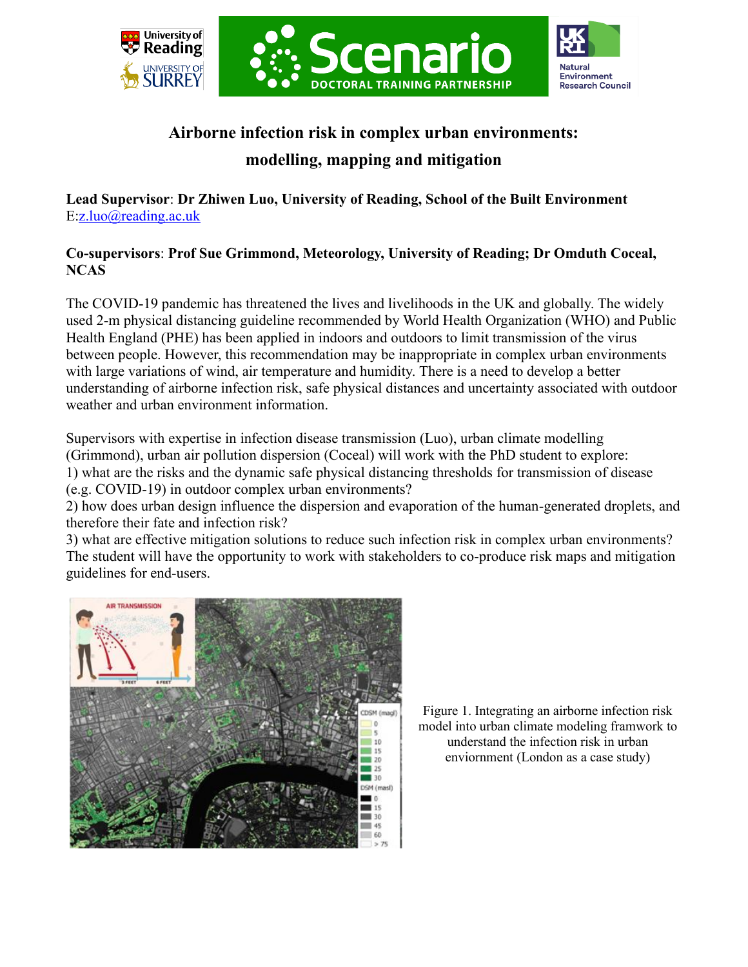





## **Airborne infection risk in complex urban environments: modelling, mapping and mitigation**

**Lead Supervisor**: **Dr Zhiwen Luo, University of Reading, School of the Built Environment** E[:z.luo@reading.ac.uk](mailto:z.luo@reading.ac.uk)

## **Co-supervisors**: **Prof Sue Grimmond, Meteorology, University of Reading; Dr Omduth Coceal, NCAS**

The COVID-19 pandemic has threatened the lives and livelihoods in the UK and globally. The widely used 2-m physical distancing guideline recommended by World Health Organization (WHO) and Public Health England (PHE) has been applied in indoors and outdoors to limit transmission of the virus between people. However, this recommendation may be inappropriate in complex urban environments with large variations of wind, air temperature and humidity. There is a need to develop a better understanding of airborne infection risk, safe physical distances and uncertainty associated with outdoor weather and urban environment information.

Supervisors with expertise in infection disease transmission (Luo), urban climate modelling (Grimmond), urban air pollution dispersion (Coceal) will work with the PhD student to explore: 1) what are the risks and the dynamic safe physical distancing thresholds for transmission of disease (e.g. COVID-19) in outdoor complex urban environments?

2) how does urban design influence the dispersion and evaporation of the human-generated droplets, and therefore their fate and infection risk?

3) what are effective mitigation solutions to reduce such infection risk in complex urban environments? The student will have the opportunity to work with stakeholders to co-produce risk maps and mitigation guidelines for end-users.



Figure 1. Integrating an airborne infection risk model into urban climate modeling framwork to understand the infection risk in urban enviornment (London as a case study)